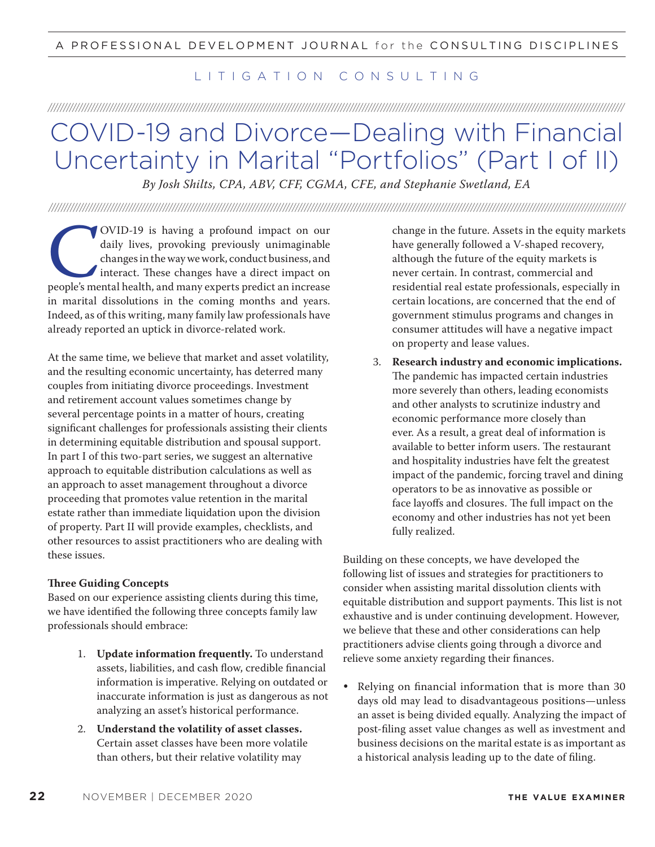## LITIGATION CONSULTING

///////////////////////////////////////////////////////////////////////////////////////////////////////////////////////////////////////////////////////////////////////////////////////////

## COVID-19 and Divorce—Dealing with Financial Uncertainty in Marital "Portfolios" (Part I of II)

*By Josh Shilts, CPA, ABV, CFF, CGMA, CFE, and Stephanie Swetland, EA*

///////////////////////////////////////////////////////////////////////////////////////////////////////////////////////////////////////////////////////////////////////////////////////////

OVID-19 is having a profound impact on our<br>daily lives, provoking previously unimaginable<br>changes in the way we work, conduct business, and<br>interact. These changes have a direct impact on<br>people's mental health, and many e daily lives, provoking previously unimaginable changes in the way we work, conduct business, and interact. These changes have a direct impact on people's mental health, and many experts predict an increase in marital dissolutions in the coming months and years. Indeed, as of this writing, many family law professionals have already reported an uptick in divorce-related work.

At the same time, we believe that market and asset volatility, and the resulting economic uncertainty, has deterred many couples from initiating divorce proceedings. Investment and retirement account values sometimes change by several percentage points in a matter of hours, creating significant challenges for professionals assisting their clients in determining equitable distribution and spousal support. In part I of this two-part series, we suggest an alternative approach to equitable distribution calculations as well as an approach to asset management throughout a divorce proceeding that promotes value retention in the marital estate rather than immediate liquidation upon the division of property. Part II will provide examples, checklists, and other resources to assist practitioners who are dealing with these issues.

## **!ree Guiding Concepts**

Based on our experience assisting clients during this time, we have identified the following three concepts family law professionals should embrace:

- 1. **Update information frequently.** To understand assets, liabilities, and cash flow, credible financial information is imperative. Relying on outdated or inaccurate information is just as dangerous as not analyzing an asset's historical performance.
- 2. **Understand the volatility of asset classes.**  Certain asset classes have been more volatile than others, but their relative volatility may

change in the future. Assets in the equity markets have generally followed a V-shaped recovery, although the future of the equity markets is never certain. In contrast, commercial and residential real estate professionals, especially in certain locations, are concerned that the end of government stimulus programs and changes in consumer attitudes will have a negative impact on property and lease values.

3. **Research industry and economic implications.** The pandemic has impacted certain industries more severely than others, leading economists and other analysts to scrutinize industry and economic performance more closely than ever. As a result, a great deal of information is available to better inform users. The restaurant and hospitality industries have felt the greatest impact of the pandemic, forcing travel and dining operators to be as innovative as possible or face layoffs and closures. The full impact on the economy and other industries has not yet been fully realized.

Building on these concepts, we have developed the following list of issues and strategies for practitioners to consider when assisting marital dissolution clients with equitable distribution and support payments. This list is not exhaustive and is under continuing development. However, we believe that these and other considerations can help practitioners advise clients going through a divorce and relieve some anxiety regarding their finances.

**•** Relying on financial information that is more than 30 days old may lead to disadvantageous positions—unless an asset is being divided equally. Analyzing the impact of post-filing asset value changes as well as investment and business decisions on the marital estate is as important as a historical analysis leading up to the date of filing.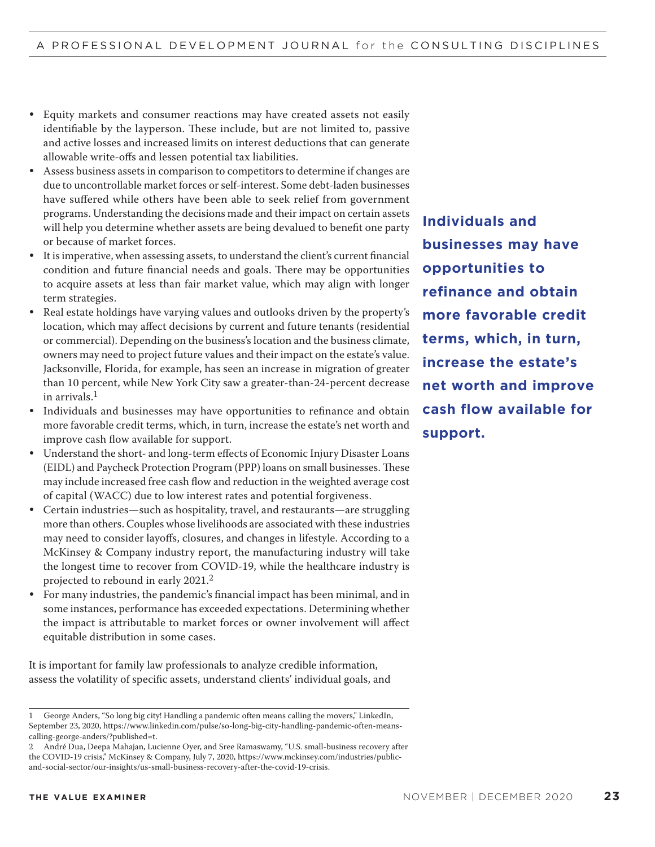- **•** Equity markets and consumer reactions may have created assets not easily identifiable by the layperson. These include, but are not limited to, passive and active losses and increased limits on interest deductions that can generate allowable write-offs and lessen potential tax liabilities.
- **•** Assess business assets in comparison to competitors to determine if changes are due to uncontrollable market forces or self-interest. Some debt-laden businesses have suffered while others have been able to seek relief from government programs. Understanding the decisions made and their impact on certain assets will help you determine whether assets are being devalued to benefit one party or because of market forces.
- **•** It is imperative, when assessing assets, to understand the client's current financial condition and future financial needs and goals. There may be opportunities to acquire assets at less than fair market value, which may align with longer term strategies.
- **•** Real estate holdings have varying values and outlooks driven by the property's location, which may affect decisions by current and future tenants (residential or commercial). Depending on the business's location and the business climate, owners may need to project future values and their impact on the estate's value. Jacksonville, Florida, for example, has seen an increase in migration of greater than 10 percent, while New York City saw a greater-than-24-percent decrease in arrivals.<sup>1</sup>
- **•** Individuals and businesses may have opportunities to refinance and obtain more favorable credit terms, which, in turn, increase the estate's net worth and improve cash flow available for support.
- **•** Understand the short- and long-term effects of Economic Injury Disaster Loans (EIDL) and Paycheck Protection Program (PPP) loans on small businesses. These may include increased free cash flow and reduction in the weighted average cost of capital (WACC) due to low interest rates and potential forgiveness.
- **•** Certain industries—such as hospitality, travel, and restaurants—are struggling more than others. Couples whose livelihoods are associated with these industries may need to consider layoffs, closures, and changes in lifestyle. According to a McKinsey & Company industry report, the manufacturing industry will take the longest time to recover from COVID-19, while the healthcare industry is projected to rebound in early 2021.<sup>2</sup>
- **•** For many industries, the pandemic's financial impact has been minimal, and in some instances, performance has exceeded expectations. Determining whether the impact is attributable to market forces or owner involvement will affect equitable distribution in some cases.

It is important for family law professionals to analyze credible information, assess the volatility of specific assets, understand clients' individual goals, and

**Individuals and businesses may have opportunities to refinance and obtain more favorable credit terms, which, in turn, increase the estate's net worth and improve cash flow available for support.**

<sup>1</sup> George Anders, "So long big city! Handling a pandemic often means calling the movers," LinkedIn, September 23, 2020, https://www.linkedin.com/pulse/so-long-big-city-handling-pandemic-often-meanscalling-george-anders/?published=t.

<sup>2</sup> André Dua, Deepa Mahajan, Lucienne Oyer, and Sree Ramaswamy, "U.S. small-business recovery after the COVID-19 crisis," McKinsey & Company, July 7, 2020, https://www.mckinsey.com/industries/publicand-social-sector/our-insights/us-small-business-recovery-after-the-covid-19-crisis.